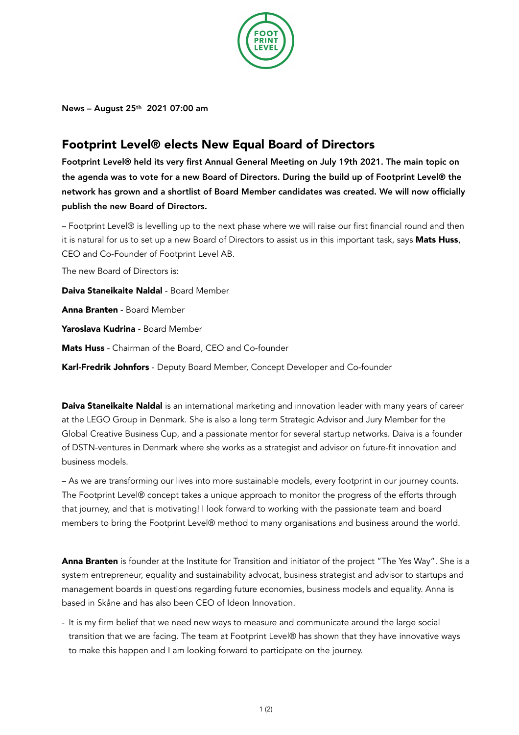

News – August 25th 2021 07:00 am

## Footprint Level® elects New Equal Board of Directors

Footprint Level® held its very first Annual General Meeting on July 19th 2021. The main topic on the agenda was to vote for a new Board of Directors. During the build up of Footprint Level® the network has grown and a shortlist of Board Member candidates was created. We will now officially publish the new Board of Directors.

– Footprint Level® is levelling up to the next phase where we will raise our first financial round and then it is natural for us to set up a new Board of Directors to assist us in this important task, says Mats Huss, CEO and Co-Founder of Footprint Level AB.

The new Board of Directors is:

Daiva Staneikaite Naldal - Board Member

Anna Branten - Board Member

Yaroslava Kudrina - Board Member

Mats Huss - Chairman of the Board, CEO and Co-founder

Karl-Fredrik Johnfors - Deputy Board Member, Concept Developer and Co-founder

Daiva Staneikaite Naldal is an international marketing and innovation leader with many years of career at the LEGO Group in Denmark. She is also a long term Strategic Advisor and Jury Member for the Global Creative Business Cup, and a passionate mentor for several startup networks. Daiva is a founder of DSTN-ventures in Denmark where she works as a strategist and advisor on future-fit innovation and business models.

– As we are transforming our lives into more sustainable models, every footprint in our journey counts. The Footprint Level® concept takes a unique approach to monitor the progress of the efforts through that journey, and that is motivating! I look forward to working with the passionate team and board members to bring the Footprint Level® method to many organisations and business around the world.

Anna Branten is founder at the Institute for Transition and initiator of the project "The Yes Way". She is a system entrepreneur, equality and sustainability advocat, business strategist and advisor to startups and management boards in questions regarding future economies, business models and equality. Anna is based in Skåne and has also been CEO of Ideon Innovation.

- It is my firm belief that we need new ways to measure and communicate around the large social transition that we are facing. The team at Footprint Level® has shown that they have innovative ways to make this happen and I am looking forward to participate on the journey.